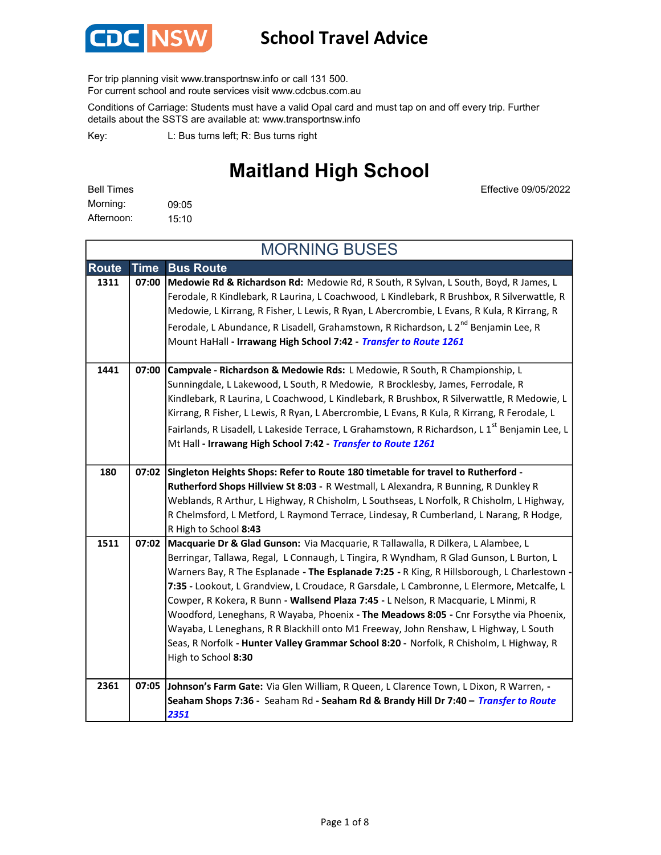

## School Travel Advice

For trip planning visit www.transportnsw.info or call 131 500.

For current school and route services visit www.cdcbus.com.au

Conditions of Carriage: Students must have a valid Opal card and must tap on and off every trip. Further details about the SSTS are available at: www.transportnsw.info

L: Bus turns left; R: Bus turns right Key:

## Maitland High School

Effective 09/05/2022

| Bell Times |       |
|------------|-------|
| Morning:   | 09:05 |
| Afternoon: | 15:10 |

| <b>MORNING BUSES</b> |             |                                                                                                                                                                                                                                                                                                                                                                                                                                                                                                                                                                                                                                                                                                                                                                  |
|----------------------|-------------|------------------------------------------------------------------------------------------------------------------------------------------------------------------------------------------------------------------------------------------------------------------------------------------------------------------------------------------------------------------------------------------------------------------------------------------------------------------------------------------------------------------------------------------------------------------------------------------------------------------------------------------------------------------------------------------------------------------------------------------------------------------|
| <b>Route</b>         | <b>Time</b> | <b>Bus Route</b>                                                                                                                                                                                                                                                                                                                                                                                                                                                                                                                                                                                                                                                                                                                                                 |
| 1311                 | 07:00       | Medowie Rd & Richardson Rd: Medowie Rd, R South, R Sylvan, L South, Boyd, R James, L<br>Ferodale, R Kindlebark, R Laurina, L Coachwood, L Kindlebark, R Brushbox, R Silverwattle, R<br>Medowie, L Kirrang, R Fisher, L Lewis, R Ryan, L Abercrombie, L Evans, R Kula, R Kirrang, R<br>Ferodale, L Abundance, R Lisadell, Grahamstown, R Richardson, L 2 <sup>nd</sup> Benjamin Lee, R<br>Mount HaHall - Irrawang High School 7:42 - Transfer to Route 1261                                                                                                                                                                                                                                                                                                       |
| 1441                 | 07:00       | Campvale - Richardson & Medowie Rds: L Medowie, R South, R Championship, L<br>Sunningdale, L Lakewood, L South, R Medowie, R Brocklesby, James, Ferrodale, R<br>Kindlebark, R Laurina, L Coachwood, L Kindlebark, R Brushbox, R Silverwattle, R Medowie, L<br>Kirrang, R Fisher, L Lewis, R Ryan, L Abercrombie, L Evans, R Kula, R Kirrang, R Ferodale, L<br>Fairlands, R Lisadell, L Lakeside Terrace, L Grahamstown, R Richardson, L 1 <sup>st</sup> Benjamin Lee, L<br>Mt Hall - Irrawang High School 7:42 - Transfer to Route 1261                                                                                                                                                                                                                          |
| 180                  |             | 07:02 Singleton Heights Shops: Refer to Route 180 timetable for travel to Rutherford -<br>Rutherford Shops Hillview St 8:03 - R Westmall, L Alexandra, R Bunning, R Dunkley R<br>Weblands, R Arthur, L Highway, R Chisholm, L Southseas, L Norfolk, R Chisholm, L Highway,<br>R Chelmsford, L Metford, L Raymond Terrace, Lindesay, R Cumberland, L Narang, R Hodge,<br>R High to School 8:43                                                                                                                                                                                                                                                                                                                                                                    |
| 1511                 | 07:02       | Macquarie Dr & Glad Gunson: Via Macquarie, R Tallawalla, R Dilkera, L Alambee, L<br>Berringar, Tallawa, Regal, L Connaugh, L Tingira, R Wyndham, R Glad Gunson, L Burton, L<br>Warners Bay, R The Esplanade - The Esplanade 7:25 - R King, R Hillsborough, L Charlestown -<br>7:35 - Lookout, L Grandview, L Croudace, R Garsdale, L Cambronne, L Elermore, Metcalfe, L<br>Cowper, R Kokera, R Bunn - Wallsend Plaza 7:45 - L Nelson, R Macquarie, L Minmi, R<br>Woodford, Leneghans, R Wayaba, Phoenix - The Meadows 8:05 - Cnr Forsythe via Phoenix,<br>Wayaba, L Leneghans, R R Blackhill onto M1 Freeway, John Renshaw, L Highway, L South<br>Seas, R Norfolk - Hunter Valley Grammar School 8:20 - Norfolk, R Chisholm, L Highway, R<br>High to School 8:30 |
| 2361                 | 07:05       | Johnson's Farm Gate: Via Glen William, R Queen, L Clarence Town, L Dixon, R Warren, -<br>Seaham Shops 7:36 - Seaham Rd - Seaham Rd & Brandy Hill Dr 7:40 - Transfer to Route<br>2351                                                                                                                                                                                                                                                                                                                                                                                                                                                                                                                                                                             |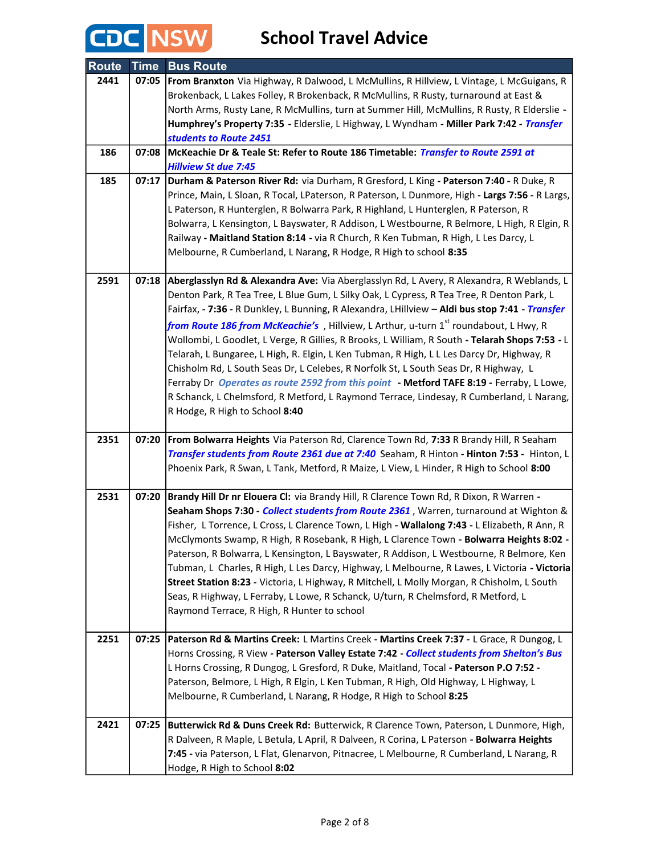

| <b>Route</b> | <b>Time</b> | <b>Bus Route</b>                                                                                                                                                                       |
|--------------|-------------|----------------------------------------------------------------------------------------------------------------------------------------------------------------------------------------|
| 2441         | 07:05       | From Branxton Via Highway, R Dalwood, L McMullins, R Hillview, L Vintage, L McGuigans, R                                                                                               |
|              |             | Brokenback, L Lakes Folley, R Brokenback, R McMullins, R Rusty, turnaround at East &                                                                                                   |
|              |             | North Arms, Rusty Lane, R McMullins, turn at Summer Hill, McMullins, R Rusty, R Elderslie -                                                                                            |
|              |             | Humphrey's Property 7:35 - Elderslie, L Highway, L Wyndham - Miller Park 7:42 - Transfer                                                                                               |
|              |             | students to Route 2451                                                                                                                                                                 |
| 186          | 07:08       | McKeachie Dr & Teale St: Refer to Route 186 Timetable: Transfer to Route 2591 at                                                                                                       |
|              |             | <b>Hillview St due 7:45</b>                                                                                                                                                            |
| 185          | 07:17       | Durham & Paterson River Rd: via Durham, R Gresford, L King - Paterson 7:40 - R Duke, R                                                                                                 |
|              |             | Prince, Main, L Sloan, R Tocal, LPaterson, R Paterson, L Dunmore, High - Largs 7:56 - R Largs,                                                                                         |
|              |             | L Paterson, R Hunterglen, R Bolwarra Park, R Highland, L Hunterglen, R Paterson, R                                                                                                     |
|              |             | Bolwarra, L Kensington, L Bayswater, R Addison, L Westbourne, R Belmore, L High, R Elgin, R<br>Railway - Maitland Station 8:14 - via R Church, R Ken Tubman, R High, L Les Darcy, L    |
|              |             | Melbourne, R Cumberland, L Narang, R Hodge, R High to school 8:35                                                                                                                      |
|              |             |                                                                                                                                                                                        |
| 2591         | 07:18       | Aberglasslyn Rd & Alexandra Ave: Via Aberglasslyn Rd, L Avery, R Alexandra, R Weblands, L                                                                                              |
|              |             | Denton Park, R Tea Tree, L Blue Gum, L Silky Oak, L Cypress, R Tea Tree, R Denton Park, L                                                                                              |
|              |             | Fairfax, - 7:36 - R Dunkley, L Bunning, R Alexandra, LHillview - Aldi bus stop 7:41 - Transfer                                                                                         |
|              |             | from Route 186 from McKeachie's , Hillview, L Arthur, u-turn 1 <sup>st</sup> roundabout, L Hwy, R                                                                                      |
|              |             | Wollombi, L Goodlet, L Verge, R Gillies, R Brooks, L William, R South - Telarah Shops 7:53 - L                                                                                         |
|              |             | Telarah, L Bungaree, L High, R. Elgin, L Ken Tubman, R High, L L Les Darcy Dr, Highway, R                                                                                              |
|              |             | Chisholm Rd, L South Seas Dr, L Celebes, R Norfolk St, L South Seas Dr, R Highway, L                                                                                                   |
|              |             | Ferraby Dr Operates as route 2592 from this point - Metford TAFE 8:19 - Ferraby, L Lowe,                                                                                               |
|              |             | R Schanck, L Chelmsford, R Metford, L Raymond Terrace, Lindesay, R Cumberland, L Narang,                                                                                               |
|              |             | R Hodge, R High to School 8:40                                                                                                                                                         |
| 2351         | 07:20       | From Bolwarra Heights Via Paterson Rd, Clarence Town Rd, 7:33 R Brandy Hill, R Seaham                                                                                                  |
|              |             | Transfer students from Route 2361 due at 7:40 Seaham, R Hinton - Hinton 7:53 - Hinton, L                                                                                               |
|              |             | Phoenix Park, R Swan, L Tank, Metford, R Maize, L View, L Hinder, R High to School 8:00                                                                                                |
|              |             |                                                                                                                                                                                        |
| 2531         |             | 07:20 Brandy Hill Dr nr Elouera CI: via Brandy Hill, R Clarence Town Rd, R Dixon, R Warren -                                                                                           |
|              |             | Seaham Shops 7:30 - Collect students from Route 2361, Warren, turnaround at Wighton &                                                                                                  |
|              |             | Fisher, L Torrence, L Cross, L Clarence Town, L High - Wallalong 7:43 - L Elizabeth, R Ann, R                                                                                          |
|              |             | McClymonts Swamp, R High, R Rosebank, R High, L Clarence Town - Bolwarra Heights 8:02 -                                                                                                |
|              |             | Paterson, R Bolwarra, L Kensington, L Bayswater, R Addison, L Westbourne, R Belmore, Ken                                                                                               |
|              |             | Tubman, L Charles, R High, L Les Darcy, Highway, L Melbourne, R Lawes, L Victoria - Victoria                                                                                           |
|              |             | Street Station 8:23 - Victoria, L Highway, R Mitchell, L Molly Morgan, R Chisholm, L South                                                                                             |
|              |             | Seas, R Highway, L Ferraby, L Lowe, R Schanck, U/turn, R Chelmsford, R Metford, L                                                                                                      |
|              |             | Raymond Terrace, R High, R Hunter to school                                                                                                                                            |
| 2251         | 07:25       | Paterson Rd & Martins Creek: L Martins Creek - Martins Creek 7:37 - L Grace, R Dungog, L                                                                                               |
|              |             | Horns Crossing, R View - Paterson Valley Estate 7:42 - Collect students from Shelton's Bus                                                                                             |
|              |             | L Horns Crossing, R Dungog, L Gresford, R Duke, Maitland, Tocal - Paterson P.O 7:52 -                                                                                                  |
|              |             | Paterson, Belmore, L High, R Elgin, L Ken Tubman, R High, Old Highway, L Highway, L                                                                                                    |
|              |             | Melbourne, R Cumberland, L Narang, R Hodge, R High to School 8:25                                                                                                                      |
|              |             |                                                                                                                                                                                        |
| 2421         | 07:25       | Butterwick Rd & Duns Creek Rd: Butterwick, R Clarence Town, Paterson, L Dunmore, High,                                                                                                 |
|              |             | R Dalveen, R Maple, L Betula, L April, R Dalveen, R Corina, L Paterson - Bolwarra Heights<br>7:45 - via Paterson, L Flat, Glenarvon, Pitnacree, L Melbourne, R Cumberland, L Narang, R |
|              |             | Hodge, R High to School 8:02                                                                                                                                                           |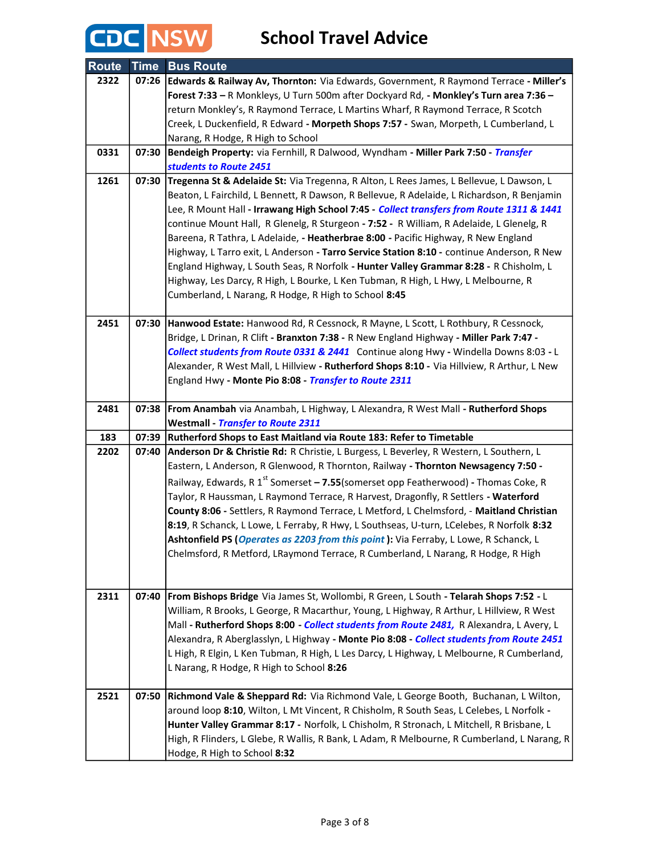

| <b>Route</b> | <b>Time</b> | <b>Bus Route</b>                                                                               |
|--------------|-------------|------------------------------------------------------------------------------------------------|
| 2322         | 07:26       | Edwards & Railway Av, Thornton: Via Edwards, Government, R Raymond Terrace - Miller's          |
|              |             | Forest 7:33 - R Monkleys, U Turn 500m after Dockyard Rd, - Monkley's Turn area 7:36 -          |
|              |             | return Monkley's, R Raymond Terrace, L Martins Wharf, R Raymond Terrace, R Scotch              |
|              |             | Creek, L Duckenfield, R Edward - Morpeth Shops 7:57 - Swan, Morpeth, L Cumberland, L           |
|              |             | Narang, R Hodge, R High to School                                                              |
| 0331         | 07:30       | Bendeigh Property: via Fernhill, R Dalwood, Wyndham - Miller Park 7:50 - Transfer              |
|              |             | students to Route 2451                                                                         |
| 1261         | 07:30       | Tregenna St & Adelaide St: Via Tregenna, R Alton, L Rees James, L Bellevue, L Dawson, L        |
|              |             | Beaton, L Fairchild, L Bennett, R Dawson, R Bellevue, R Adelaide, L Richardson, R Benjamin     |
|              |             | Lee, R Mount Hall - Irrawang High School 7:45 - Collect transfers from Route 1311 & 1441       |
|              |             | continue Mount Hall, R Glenelg, R Sturgeon - 7:52 - R William, R Adelaide, L Glenelg, R        |
|              |             | Bareena, R Tathra, L Adelaide, - Heatherbrae 8:00 - Pacific Highway, R New England             |
|              |             | Highway, L Tarro exit, L Anderson - Tarro Service Station 8:10 - continue Anderson, R New      |
|              |             | England Highway, L South Seas, R Norfolk - Hunter Valley Grammar 8:28 - R Chisholm, L          |
|              |             | Highway, Les Darcy, R High, L Bourke, L Ken Tubman, R High, L Hwy, L Melbourne, R              |
|              |             | Cumberland, L Narang, R Hodge, R High to School 8:45                                           |
| 2451         | 07:30       | Hanwood Estate: Hanwood Rd, R Cessnock, R Mayne, L Scott, L Rothbury, R Cessnock,              |
|              |             | Bridge, L Drinan, R Clift - Branxton 7:38 - R New England Highway - Miller Park 7:47 -         |
|              |             | Collect students from Route 0331 & 2441 Continue along Hwy - Windella Downs 8:03 - L           |
|              |             | Alexander, R West Mall, L Hillview - Rutherford Shops 8:10 - Via Hillview, R Arthur, L New     |
|              |             | England Hwy - Monte Pio 8:08 - Transfer to Route 2311                                          |
|              |             |                                                                                                |
| 2481         | 07:38       | From Anambah via Anambah, L Highway, L Alexandra, R West Mall - Rutherford Shops               |
|              |             | <b>Westmall - Transfer to Route 2311</b>                                                       |
| 183          | 07:39       | Rutherford Shops to East Maitland via Route 183: Refer to Timetable                            |
| 2202         | 07:40       | Anderson Dr & Christie Rd: R Christie, L Burgess, L Beverley, R Western, L Southern, L         |
|              |             | Eastern, L Anderson, R Glenwood, R Thornton, Railway - Thornton Newsagency 7:50 -              |
|              |             | Railway, Edwards, R 1 <sup>st</sup> Somerset - 7.55(somerset opp Featherwood) - Thomas Coke, R |
|              |             | Taylor, R Haussman, L Raymond Terrace, R Harvest, Dragonfly, R Settlers - Waterford            |
|              |             | County 8:06 - Settlers, R Raymond Terrace, L Metford, L Chelmsford, - Maitland Christian       |
|              |             | 8:19, R Schanck, L Lowe, L Ferraby, R Hwy, L Southseas, U-turn, LCelebes, R Norfolk 8:32       |
|              |             | Ashtonfield PS ( <i>Operates as 2203 from this point</i> ): Via Ferraby, L Lowe, R Schanck, L  |
|              |             | Chelmsford, R Metford, LRaymond Terrace, R Cumberland, L Narang, R Hodge, R High               |
|              |             |                                                                                                |
| 2311         | 07:40       | From Bishops Bridge Via James St, Wollombi, R Green, L South - Telarah Shops 7:52 - L          |
|              |             | William, R Brooks, L George, R Macarthur, Young, L Highway, R Arthur, L Hillview, R West       |
|              |             | Mall - Rutherford Shops 8:00 - Collect students from Route 2481, R Alexandra, L Avery, L       |
|              |             | Alexandra, R Aberglasslyn, L Highway - Monte Pio 8:08 - Collect students from Route 2451       |
|              |             | L High, R Elgin, L Ken Tubman, R High, L Les Darcy, L Highway, L Melbourne, R Cumberland,      |
|              |             | L Narang, R Hodge, R High to School 8:26                                                       |
|              |             |                                                                                                |
| 2521         | 07:50       | Richmond Vale & Sheppard Rd: Via Richmond Vale, L George Booth, Buchanan, L Wilton,            |
|              |             | around loop 8:10, Wilton, L Mt Vincent, R Chisholm, R South Seas, L Celebes, L Norfolk -       |
|              |             | Hunter Valley Grammar 8:17 - Norfolk, L Chisholm, R Stronach, L Mitchell, R Brisbane, L        |
|              |             | High, R Flinders, L Glebe, R Wallis, R Bank, L Adam, R Melbourne, R Cumberland, L Narang, R    |
|              |             | Hodge, R High to School 8:32                                                                   |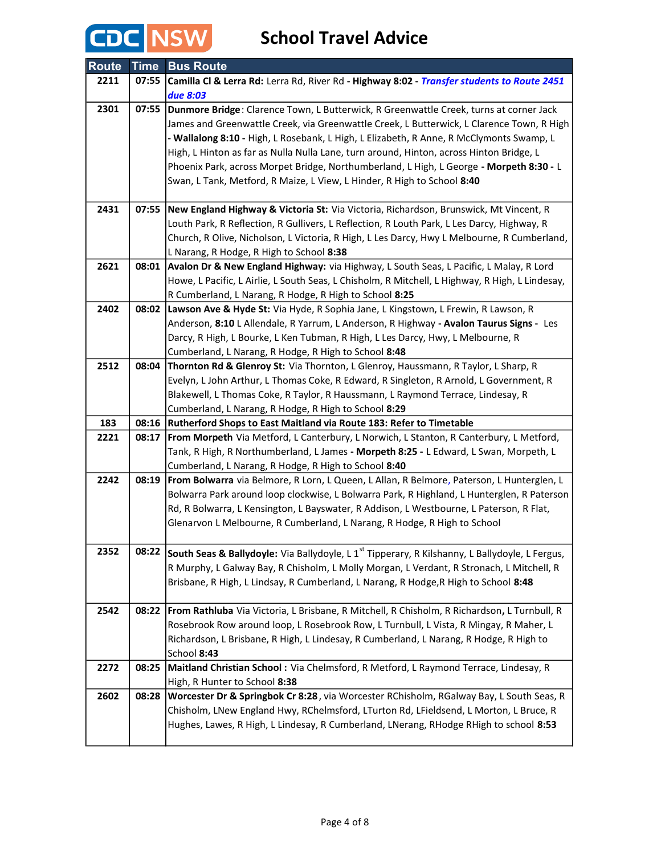

| <b>Route</b> | <b>Time</b> | <b>Bus Route</b>                                                                                                                   |
|--------------|-------------|------------------------------------------------------------------------------------------------------------------------------------|
| 2211         | 07:55       | Camilla Cl & Lerra Rd: Lerra Rd, River Rd - Highway 8:02 - Transfer students to Route 2451                                         |
|              |             | due 8:03                                                                                                                           |
| 2301         | 07:55       | Dunmore Bridge: Clarence Town, L Butterwick, R Greenwattle Creek, turns at corner Jack                                             |
|              |             | James and Greenwattle Creek, via Greenwattle Creek, L Butterwick, L Clarence Town, R High                                          |
|              |             | - Wallalong 8:10 - High, L Rosebank, L High, L Elizabeth, R Anne, R McClymonts Swamp, L                                            |
|              |             | High, L Hinton as far as Nulla Nulla Lane, turn around, Hinton, across Hinton Bridge, L                                            |
|              |             | Phoenix Park, across Morpet Bridge, Northumberland, L High, L George - Morpeth 8:30 - L                                            |
|              |             | Swan, L Tank, Metford, R Maize, L View, L Hinder, R High to School 8:40                                                            |
|              |             |                                                                                                                                    |
| 2431         | 07:55       | New England Highway & Victoria St: Via Victoria, Richardson, Brunswick, Mt Vincent, R                                              |
|              |             | Louth Park, R Reflection, R Gullivers, L Reflection, R Louth Park, L Les Darcy, Highway, R                                         |
|              |             | Church, R Olive, Nicholson, L Victoria, R High, L Les Darcy, Hwy L Melbourne, R Cumberland,                                        |
| 2621         | 08:01       | L Narang, R Hodge, R High to School 8:38<br>Avalon Dr & New England Highway: via Highway, L South Seas, L Pacific, L Malay, R Lord |
|              |             | Howe, L Pacific, L Airlie, L South Seas, L Chisholm, R Mitchell, L Highway, R High, L Lindesay,                                    |
|              |             | R Cumberland, L Narang, R Hodge, R High to School 8:25                                                                             |
| 2402         |             | 08:02 Lawson Ave & Hyde St: Via Hyde, R Sophia Jane, L Kingstown, L Frewin, R Lawson, R                                            |
|              |             | Anderson, 8:10 L Allendale, R Yarrum, L Anderson, R Highway - Avalon Taurus Signs - Les                                            |
|              |             | Darcy, R High, L Bourke, L Ken Tubman, R High, L Les Darcy, Hwy, L Melbourne, R                                                    |
|              |             | Cumberland, L Narang, R Hodge, R High to School 8:48                                                                               |
| 2512         | 08:04       | Thornton Rd & Glenroy St: Via Thornton, L Glenroy, Haussmann, R Taylor, L Sharp, R                                                 |
|              |             | Evelyn, L John Arthur, L Thomas Coke, R Edward, R Singleton, R Arnold, L Government, R                                             |
|              |             | Blakewell, L Thomas Coke, R Taylor, R Haussmann, L Raymond Terrace, Lindesay, R                                                    |
|              |             | Cumberland, L Narang, R Hodge, R High to School 8:29                                                                               |
| 183          | 08:16       | Rutherford Shops to East Maitland via Route 183: Refer to Timetable                                                                |
| 2221         | 08:17       | From Morpeth Via Metford, L Canterbury, L Norwich, L Stanton, R Canterbury, L Metford,                                             |
|              |             | Tank, R High, R Northumberland, L James - Morpeth 8:25 - L Edward, L Swan, Morpeth, L                                              |
|              |             | Cumberland, L Narang, R Hodge, R High to School 8:40                                                                               |
| 2242         | 08:19       | From Bolwarra via Belmore, R Lorn, L Queen, L Allan, R Belmore, Paterson, L Hunterglen, L                                          |
|              |             | Bolwarra Park around loop clockwise, L Bolwarra Park, R Highland, L Hunterglen, R Paterson                                         |
|              |             | Rd, R Bolwarra, L Kensington, L Bayswater, R Addison, L Westbourne, L Paterson, R Flat,                                            |
|              |             | Glenarvon L Melbourne, R Cumberland, L Narang, R Hodge, R High to School                                                           |
|              |             |                                                                                                                                    |
| 2352         | 08:22       | South Seas & Ballydoyle: Via Ballydoyle, L 1 <sup>st</sup> Tipperary, R Kilshanny, L Ballydoyle, L Fergus,                         |
|              |             | R Murphy, L Galway Bay, R Chisholm, L Molly Morgan, L Verdant, R Stronach, L Mitchell, R                                           |
|              |             | Brisbane, R High, L Lindsay, R Cumberland, L Narang, R Hodge, R High to School 8:48                                                |
| 2542         | 08:22       | From Rathluba Via Victoria, L Brisbane, R Mitchell, R Chisholm, R Richardson, L Turnbull, R                                        |
|              |             | Rosebrook Row around loop, L Rosebrook Row, L Turnbull, L Vista, R Mingay, R Maher, L                                              |
|              |             | Richardson, L Brisbane, R High, L Lindesay, R Cumberland, L Narang, R Hodge, R High to                                             |
|              |             | School 8:43                                                                                                                        |
| 2272         | 08:25       | Maitland Christian School: Via Chelmsford, R Metford, L Raymond Terrace, Lindesay, R                                               |
|              |             | High, R Hunter to School 8:38                                                                                                      |
| 2602         | 08:28       | Worcester Dr & Springbok Cr 8:28, via Worcester RChisholm, RGalway Bay, L South Seas, R                                            |
|              |             | Chisholm, LNew England Hwy, RChelmsford, LTurton Rd, LFieldsend, L Morton, L Bruce, R                                              |
|              |             | Hughes, Lawes, R High, L Lindesay, R Cumberland, LNerang, RHodge RHigh to school 8:53                                              |
|              |             |                                                                                                                                    |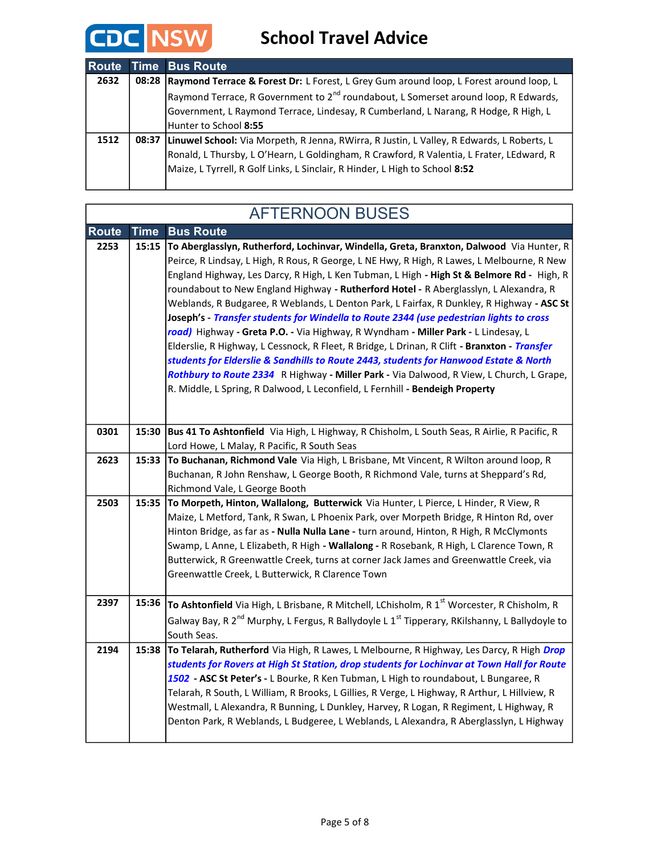

| <b>Route</b> |       | Time Bus Route                                                                                  |
|--------------|-------|-------------------------------------------------------------------------------------------------|
| 2632         |       | 08:28 Raymond Terrace & Forest Dr: L Forest, L Grey Gum around loop, L Forest around loop, L    |
|              |       | Raymond Terrace, R Government to 2 <sup>nd</sup> roundabout, L Somerset around loop, R Edwards, |
|              |       | Government, L Raymond Terrace, Lindesay, R Cumberland, L Narang, R Hodge, R High, L             |
|              |       | Hunter to School 8:55                                                                           |
| 1512         | 08:37 | Linuwel School: Via Morpeth, R Jenna, RWirra, R Justin, L Valley, R Edwards, L Roberts, L       |
|              |       | Ronald, L Thursby, L O'Hearn, L Goldingham, R Crawford, R Valentia, L Frater, LEdward, R        |
|              |       | Maize, L Tyrrell, R Golf Links, L Sinclair, R Hinder, L High to School 8:52                     |
|              |       |                                                                                                 |

| <b>AFTERNOON BUSES</b> |             |                                                                                                                                                                                                                                                                                                                                                                                                                                                                                                                                                                                                                                                                                                                                                                                                                                                                                                                                                                                                                                |
|------------------------|-------------|--------------------------------------------------------------------------------------------------------------------------------------------------------------------------------------------------------------------------------------------------------------------------------------------------------------------------------------------------------------------------------------------------------------------------------------------------------------------------------------------------------------------------------------------------------------------------------------------------------------------------------------------------------------------------------------------------------------------------------------------------------------------------------------------------------------------------------------------------------------------------------------------------------------------------------------------------------------------------------------------------------------------------------|
| <b>Route</b>           | <b>Time</b> | <b>Bus Route</b>                                                                                                                                                                                                                                                                                                                                                                                                                                                                                                                                                                                                                                                                                                                                                                                                                                                                                                                                                                                                               |
| 2253                   | 15:15       | To Aberglasslyn, Rutherford, Lochinvar, Windella, Greta, Branxton, Dalwood Via Hunter, R<br>Peirce, R Lindsay, L High, R Rous, R George, L NE Hwy, R High, R Lawes, L Melbourne, R New<br>England Highway, Les Darcy, R High, L Ken Tubman, L High - High St & Belmore Rd - High, R<br>roundabout to New England Highway - Rutherford Hotel - R Aberglasslyn, L Alexandra, R<br>Weblands, R Budgaree, R Weblands, L Denton Park, L Fairfax, R Dunkley, R Highway - ASC St<br>Joseph's - Transfer students for Windella to Route 2344 (use pedestrian lights to cross<br>road) Highway - Greta P.O. - Via Highway, R Wyndham - Miller Park - L Lindesay, L<br>Elderslie, R Highway, L Cessnock, R Fleet, R Bridge, L Drinan, R Clift - Branxton - Transfer<br>students for Elderslie & Sandhills to Route 2443, students for Hanwood Estate & North<br>Rothbury to Route 2334 R Highway - Miller Park - Via Dalwood, R View, L Church, L Grape,<br>R. Middle, L Spring, R Dalwood, L Leconfield, L Fernhill - Bendeigh Property |
| 0301                   | 15:30       | Bus 41 To Ashtonfield Via High, L Highway, R Chisholm, L South Seas, R Airlie, R Pacific, R<br>Lord Howe, L Malay, R Pacific, R South Seas                                                                                                                                                                                                                                                                                                                                                                                                                                                                                                                                                                                                                                                                                                                                                                                                                                                                                     |
| 2623                   | 15:33       | To Buchanan, Richmond Vale Via High, L Brisbane, Mt Vincent, R Wilton around loop, R<br>Buchanan, R John Renshaw, L George Booth, R Richmond Vale, turns at Sheppard's Rd,<br>Richmond Vale, L George Booth                                                                                                                                                                                                                                                                                                                                                                                                                                                                                                                                                                                                                                                                                                                                                                                                                    |
| 2503                   | 15:35       | To Morpeth, Hinton, Wallalong, Butterwick Via Hunter, L Pierce, L Hinder, R View, R<br>Maize, L Metford, Tank, R Swan, L Phoenix Park, over Morpeth Bridge, R Hinton Rd, over<br>Hinton Bridge, as far as - Nulla Nulla Lane - turn around, Hinton, R High, R McClymonts<br>Swamp, L Anne, L Elizabeth, R High - Wallalong - R Rosebank, R High, L Clarence Town, R<br>Butterwick, R Greenwattle Creek, turns at corner Jack James and Greenwattle Creek, via<br>Greenwattle Creek, L Butterwick, R Clarence Town                                                                                                                                                                                                                                                                                                                                                                                                                                                                                                              |
| 2397                   | 15:36       | To Ashtonfield Via High, L Brisbane, R Mitchell, LChisholm, R 1 <sup>st</sup> Worcester, R Chisholm, R<br>Galway Bay, R 2 <sup>nd</sup> Murphy, L Fergus, R Ballydoyle L 1 <sup>st</sup> Tipperary, RKilshanny, L Ballydoyle to<br>South Seas.                                                                                                                                                                                                                                                                                                                                                                                                                                                                                                                                                                                                                                                                                                                                                                                 |
| 2194                   |             | 15:38 To Telarah, Rutherford Via High, R Lawes, L Melbourne, R Highway, Les Darcy, R High Drop<br>students for Rovers at High St Station, drop students for Lochinvar at Town Hall for Route<br>1502 - ASC St Peter's - L Bourke, R Ken Tubman, L High to roundabout, L Bungaree, R<br>Telarah, R South, L William, R Brooks, L Gillies, R Verge, L Highway, R Arthur, L Hillview, R<br>Westmall, L Alexandra, R Bunning, L Dunkley, Harvey, R Logan, R Regiment, L Highway, R<br>Denton Park, R Weblands, L Budgeree, L Weblands, L Alexandra, R Aberglasslyn, L Highway                                                                                                                                                                                                                                                                                                                                                                                                                                                      |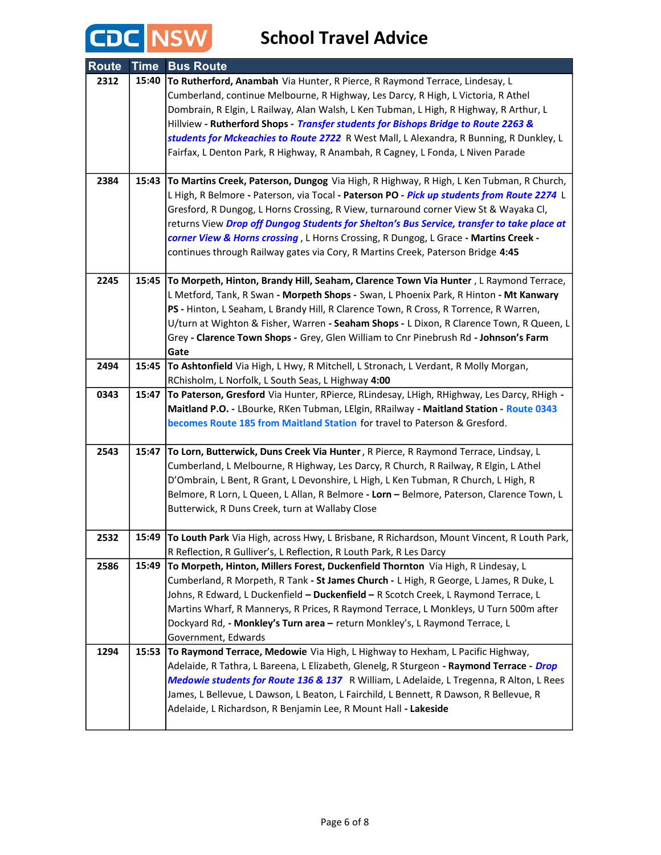

| <b>Route</b> | <b>Time</b> | <b>Bus Route</b>                                                                                                                                                                          |
|--------------|-------------|-------------------------------------------------------------------------------------------------------------------------------------------------------------------------------------------|
| 2312         | 15:40       | To Rutherford, Anambah Via Hunter, R Pierce, R Raymond Terrace, Lindesay, L                                                                                                               |
|              |             | Cumberland, continue Melbourne, R Highway, Les Darcy, R High, L Victoria, R Athel                                                                                                         |
|              |             | Dombrain, R Elgin, L Railway, Alan Walsh, L Ken Tubman, L High, R Highway, R Arthur, L                                                                                                    |
|              |             | Hillview - Rutherford Shops - Transfer students for Bishops Bridge to Route 2263 &                                                                                                        |
|              |             | students for Mckeachies to Route 2722 R West Mall, L Alexandra, R Bunning, R Dunkley, L                                                                                                   |
|              |             | Fairfax, L Denton Park, R Highway, R Anambah, R Cagney, L Fonda, L Niven Parade                                                                                                           |
| 2384         | 15:43       | To Martins Creek, Paterson, Dungog Via High, R Highway, R High, L Ken Tubman, R Church,                                                                                                   |
|              |             | L High, R Belmore - Paterson, via Tocal - Paterson PO - Pick up students from Route 2274 L                                                                                                |
|              |             | Gresford, R Dungog, L Horns Crossing, R View, turnaround corner View St & Wayaka Cl,                                                                                                      |
|              |             | returns View Drop off Dungog Students for Shelton's Bus Service, transfer to take place at                                                                                                |
|              |             | corner View & Horns crossing, L Horns Crossing, R Dungog, L Grace - Martins Creek -                                                                                                       |
|              |             | continues through Railway gates via Cory, R Martins Creek, Paterson Bridge 4:45                                                                                                           |
|              |             |                                                                                                                                                                                           |
| 2245         | 15:45       | To Morpeth, Hinton, Brandy Hill, Seaham, Clarence Town Via Hunter, L Raymond Terrace,                                                                                                     |
|              |             | L Metford, Tank, R Swan - Morpeth Shops - Swan, L Phoenix Park, R Hinton - Mt Kanwary                                                                                                     |
|              |             | PS - Hinton, L Seaham, L Brandy Hill, R Clarence Town, R Cross, R Torrence, R Warren,                                                                                                     |
|              |             | U/turn at Wighton & Fisher, Warren - Seaham Shops - L Dixon, R Clarence Town, R Queen, L                                                                                                  |
|              |             | Grey - Clarence Town Shops - Grey, Glen William to Cnr Pinebrush Rd - Johnson's Farm                                                                                                      |
|              |             | Gate                                                                                                                                                                                      |
| 2494         |             | 15:45 To Ashtonfield Via High, L Hwy, R Mitchell, L Stronach, L Verdant, R Molly Morgan,                                                                                                  |
| 0343         |             | RChisholm, L Norfolk, L South Seas, L Highway 4:00                                                                                                                                        |
|              |             | 15:47 To Paterson, Gresford Via Hunter, RPierce, RLindesay, LHigh, RHighway, Les Darcy, RHigh -<br>Maitland P.O. - LBourke, RKen Tubman, LElgin, RRailway - Maitland Station - Route 0343 |
|              |             | becomes Route 185 from Maitland Station for travel to Paterson & Gresford.                                                                                                                |
|              |             |                                                                                                                                                                                           |
| 2543         | 15:47       | To Lorn, Butterwick, Duns Creek Via Hunter, R Pierce, R Raymond Terrace, Lindsay, L                                                                                                       |
|              |             | Cumberland, L Melbourne, R Highway, Les Darcy, R Church, R Railway, R Elgin, L Athel                                                                                                      |
|              |             | D'Ombrain, L Bent, R Grant, L Devonshire, L High, L Ken Tubman, R Church, L High, R                                                                                                       |
|              |             | Belmore, R Lorn, L Queen, L Allan, R Belmore - Lorn - Belmore, Paterson, Clarence Town, L                                                                                                 |
|              |             | Butterwick, R Duns Creek, turn at Wallaby Close                                                                                                                                           |
| 2532         |             | 15:49 To Louth Park Via High, across Hwy, L Brisbane, R Richardson, Mount Vincent, R Louth Park,                                                                                          |
|              |             | R Reflection, R Gulliver's, L Reflection, R Louth Park, R Les Darcy                                                                                                                       |
| 2586         | 15:49       | To Morpeth, Hinton, Millers Forest, Duckenfield Thornton Via High, R Lindesay, L                                                                                                          |
|              |             | Cumberland, R Morpeth, R Tank - St James Church - L High, R George, L James, R Duke, L                                                                                                    |
|              |             | Johns, R Edward, L Duckenfield - Duckenfield - R Scotch Creek, L Raymond Terrace, L                                                                                                       |
|              |             | Martins Wharf, R Mannerys, R Prices, R Raymond Terrace, L Monkleys, U Turn 500m after                                                                                                     |
|              |             | Dockyard Rd, - Monkley's Turn area - return Monkley's, L Raymond Terrace, L                                                                                                               |
|              |             | Government, Edwards                                                                                                                                                                       |
| 1294         | 15:53       | To Raymond Terrace, Medowie Via High, L Highway to Hexham, L Pacific Highway,                                                                                                             |
|              |             | Adelaide, R Tathra, L Bareena, L Elizabeth, Glenelg, R Sturgeon - Raymond Terrace - Drop                                                                                                  |
|              |             | Medowie students for Route 136 & 137 R William, L Adelaide, L Tregenna, R Alton, L Rees                                                                                                   |
|              |             | James, L Bellevue, L Dawson, L Beaton, L Fairchild, L Bennett, R Dawson, R Bellevue, R                                                                                                    |
|              |             | Adelaide, L Richardson, R Benjamin Lee, R Mount Hall - Lakeside                                                                                                                           |
|              |             |                                                                                                                                                                                           |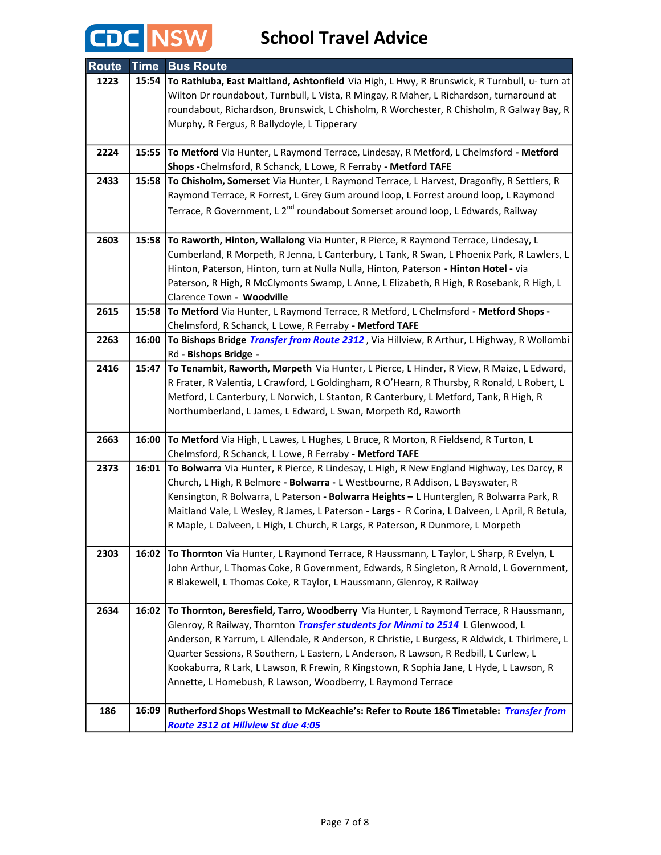

| <b>Route</b> | <b>Time</b> | <b>Bus Route</b>                                                                                                                                                                  |
|--------------|-------------|-----------------------------------------------------------------------------------------------------------------------------------------------------------------------------------|
| 1223         | 15:54       | To Rathluba, East Maitland, Ashtonfield Via High, L Hwy, R Brunswick, R Turnbull, u- turn at                                                                                      |
|              |             | Wilton Dr roundabout, Turnbull, L Vista, R Mingay, R Maher, L Richardson, turnaround at                                                                                           |
|              |             | roundabout, Richardson, Brunswick, L Chisholm, R Worchester, R Chisholm, R Galway Bay, R                                                                                          |
|              |             | Murphy, R Fergus, R Ballydoyle, L Tipperary                                                                                                                                       |
|              |             |                                                                                                                                                                                   |
| 2224         | 15:55       | To Metford Via Hunter, L Raymond Terrace, Lindesay, R Metford, L Chelmsford - Metford                                                                                             |
|              |             | Shops - Chelmsford, R Schanck, L Lowe, R Ferraby - Metford TAFE                                                                                                                   |
| 2433         | 15:58       | To Chisholm, Somerset Via Hunter, L Raymond Terrace, L Harvest, Dragonfly, R Settlers, R                                                                                          |
|              |             | Raymond Terrace, R Forrest, L Grey Gum around loop, L Forrest around loop, L Raymond                                                                                              |
|              |             | Terrace, R Government, L 2 <sup>nd</sup> roundabout Somerset around loop, L Edwards, Railway                                                                                      |
|              |             |                                                                                                                                                                                   |
| 2603         | 15:58       | To Raworth, Hinton, Wallalong Via Hunter, R Pierce, R Raymond Terrace, Lindesay, L                                                                                                |
|              |             | Cumberland, R Morpeth, R Jenna, L Canterbury, L Tank, R Swan, L Phoenix Park, R Lawlers, L                                                                                        |
|              |             | Hinton, Paterson, Hinton, turn at Nulla Nulla, Hinton, Paterson - Hinton Hotel - via                                                                                              |
|              |             | Paterson, R High, R McClymonts Swamp, L Anne, L Elizabeth, R High, R Rosebank, R High, L                                                                                          |
|              |             | Clarence Town - Woodville                                                                                                                                                         |
| 2615         | 15:58       | To Metford Via Hunter, L Raymond Terrace, R Metford, L Chelmsford - Metford Shops -                                                                                               |
| 2263         | 16:00       | Chelmsford, R Schanck, L Lowe, R Ferraby - Metford TAFE<br>To Bishops Bridge Transfer from Route 2312, Via Hillview, R Arthur, L Highway, R Wollombi                              |
|              |             | Rd - Bishops Bridge -                                                                                                                                                             |
| 2416         |             | 15:47 To Tenambit, Raworth, Morpeth Via Hunter, L Pierce, L Hinder, R View, R Maize, L Edward,                                                                                    |
|              |             | R Frater, R Valentia, L Crawford, L Goldingham, R O'Hearn, R Thursby, R Ronald, L Robert, L                                                                                       |
|              |             | Metford, L Canterbury, L Norwich, L Stanton, R Canterbury, L Metford, Tank, R High, R                                                                                             |
|              |             | Northumberland, L James, L Edward, L Swan, Morpeth Rd, Raworth                                                                                                                    |
|              |             |                                                                                                                                                                                   |
| 2663         | 16:00       | To Metford Via High, L Lawes, L Hughes, L Bruce, R Morton, R Fieldsend, R Turton, L                                                                                               |
|              |             | Chelmsford, R Schanck, L Lowe, R Ferraby - Metford TAFE                                                                                                                           |
| 2373         | 16:01       | To Bolwarra Via Hunter, R Pierce, R Lindesay, L High, R New England Highway, Les Darcy, R                                                                                         |
|              |             | Church, L High, R Belmore - Bolwarra - L Westbourne, R Addison, L Bayswater, R                                                                                                    |
|              |             | Kensington, R Bolwarra, L Paterson - Bolwarra Heights - L Hunterglen, R Bolwarra Park, R                                                                                          |
|              |             | Maitland Vale, L Wesley, R James, L Paterson - Largs - R Corina, L Dalveen, L April, R Betula,                                                                                    |
|              |             | R Maple, L Dalveen, L High, L Church, R Largs, R Paterson, R Dunmore, L Morpeth                                                                                                   |
|              |             |                                                                                                                                                                                   |
| 2303         | 16:02       | To Thornton Via Hunter, L Raymond Terrace, R Haussmann, L Taylor, L Sharp, R Evelyn, L<br>John Arthur, L Thomas Coke, R Government, Edwards, R Singleton, R Arnold, L Government, |
|              |             | R Blakewell, L Thomas Coke, R Taylor, L Haussmann, Glenroy, R Railway                                                                                                             |
|              |             |                                                                                                                                                                                   |
| 2634         | 16:02       | To Thornton, Beresfield, Tarro, Woodberry Via Hunter, L Raymond Terrace, R Haussmann,                                                                                             |
|              |             | Glenroy, R Railway, Thornton Transfer students for Minmi to 2514 L Glenwood, L                                                                                                    |
|              |             | Anderson, R Yarrum, L Allendale, R Anderson, R Christie, L Burgess, R Aldwick, L Thirlmere, L                                                                                     |
|              |             | Quarter Sessions, R Southern, L Eastern, L Anderson, R Lawson, R Redbill, L Curlew, L                                                                                             |
|              |             | Kookaburra, R Lark, L Lawson, R Frewin, R Kingstown, R Sophia Jane, L Hyde, L Lawson, R                                                                                           |
|              |             | Annette, L Homebush, R Lawson, Woodberry, L Raymond Terrace                                                                                                                       |
|              |             |                                                                                                                                                                                   |
| 186          | 16:09       | Rutherford Shops Westmall to McKeachie's: Refer to Route 186 Timetable: Transfer from                                                                                             |
|              |             | Route 2312 at Hillview St due 4:05                                                                                                                                                |